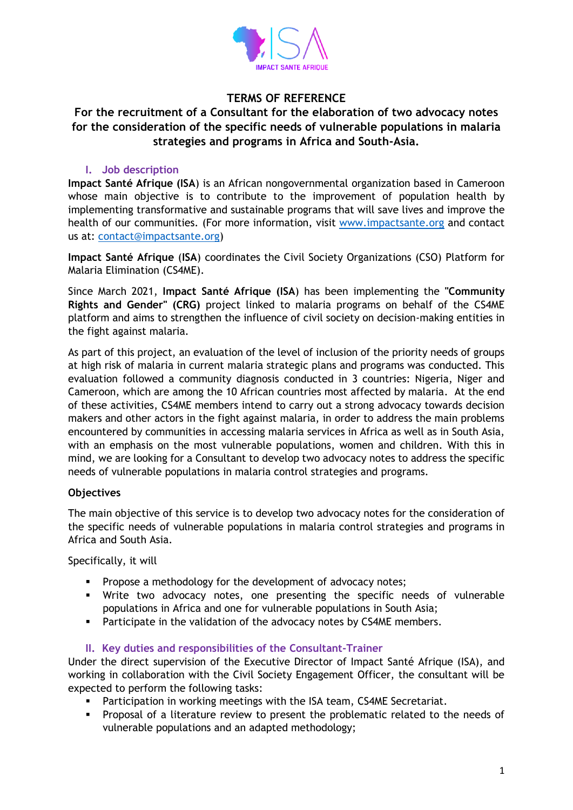

# **TERMS OF REFERENCE**

# **For the recruitment of a Consultant for the elaboration of two advocacy notes for the consideration of the specific needs of vulnerable populations in malaria strategies and programs in Africa and South-Asia.**

### **I. Job description**

**Impact Santé Afrique (ISA**) is an African nongovernmental organization based in Cameroon whose main objective is to contribute to the improvement of population health by implementing transformative and sustainable programs that will save lives and improve the health of our communities. (For more information, visit [www.impactsante.org](http://www.impactsante.org/) and contact us at: [contact@impactsante.org\)](mailto:contact@impactsante.org)

**Impact Santé Afrique** (**ISA**) coordinates the Civil Society Organizations (CSO) Platform for Malaria Elimination (CS4ME).

Since March 2021, **Impact Santé Afrique (ISA**) has been implementing the **"Community Rights and Gender" (CRG)** project linked to malaria programs on behalf of the CS4ME platform and aims to strengthen the influence of civil society on decision-making entities in the fight against malaria.

As part of this project, an evaluation of the level of inclusion of the priority needs of groups at high risk of malaria in current malaria strategic plans and programs was conducted. This evaluation followed a community diagnosis conducted in 3 countries: Nigeria, Niger and Cameroon, which are among the 10 African countries most affected by malaria. At the end of these activities, CS4ME members intend to carry out a strong advocacy towards decision makers and other actors in the fight against malaria, in order to address the main problems encountered by communities in accessing malaria services in Africa as well as in South Asia, with an emphasis on the most vulnerable populations, women and children. With this in mind, we are looking for a Consultant to develop two advocacy notes to address the specific needs of vulnerable populations in malaria control strategies and programs.

#### **Objectives**

The main objective of this service is to develop two advocacy notes for the consideration of the specific needs of vulnerable populations in malaria control strategies and programs in Africa and South Asia.

Specifically, it will

- **•** Propose a methodology for the development of advocacy notes;
- Write two advocacy notes, one presenting the specific needs of vulnerable populations in Africa and one for vulnerable populations in South Asia;
- Participate in the validation of the advocacy notes by CS4ME members.

#### **II. Key duties and responsibilities of the Consultant-Trainer**

Under the direct supervision of the Executive Director of Impact Santé Afrique (ISA), and working in collaboration with the Civil Society Engagement Officer, the consultant will be expected to perform the following tasks:

- **•** Participation in working meetings with the ISA team, CS4ME Secretariat.
- Proposal of a literature review to present the problematic related to the needs of vulnerable populations and an adapted methodology;